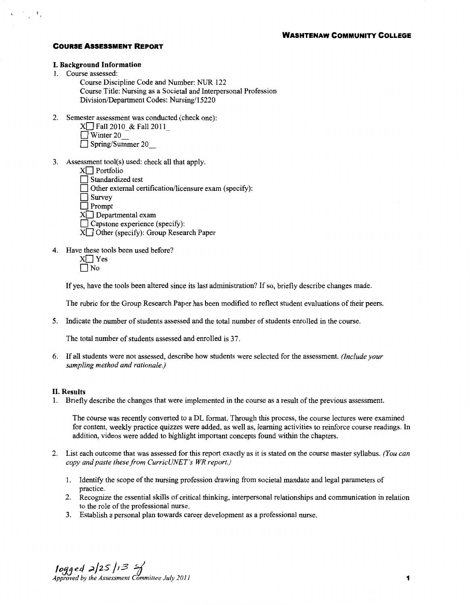### **I. Background Information**

1. Course assessed:

 $\chi_{\rm{eff}} \gtrsim \frac{1}{\sqrt{2}} \, A_{\rm{p}}$ 

- Course Discipline Code and Number: NUR 122 Course Title: Nursing as a Societal and Interpersonal Profession Division/Department Codes: Nursing/15220
- 2. Semester assessment was conducted (check one):
	- $X \Box$  Fall 2010 & Fall 2011  $\Box$  Winter 20
	- D Spring/Summer 20 \_
- 3. Assessment tool(s) used: check all that apply.
	- $X \Box$  Portfolio
	- Standardized test
	- Other external certification/licensure exam (specify):

 $\Box$  Survey

 $\overline{\Box}$  Prompt

- $X \square$  Departmental exam
- $\Box$  Capstone experience (specify):
- $X \square$  Other (specify): Group Research Paper
- 4. Have these tools been used before?
	- $X \square Y$ es  $\Box$  No

If yes, have the tools been altered since its last administration? If so, briefly describe changes made.

The rubric for the Group Research Paper has been modified to reflect student evaluations of their peers.

5. Indicate the number of students assessed and the total number of students enrolled in the course.

The total number of students assessed and enrolled is 37.

6. If all students were not assessed, describe how students were selected for the assessment. *(Include your sampling method and rationale.)* 

### **II. Results**

1. Briefly describe the changes that were implemented in the course as a result of the previous assessment.

The course was recently converted to a DL format. Through this process, the course lectures were examined for content, weekly practice quizzes were added, as well as, learning activities to reinforce course readings. In addition, videos were added to highlight important concepts found within the chapters.

- 2. List each outcome that was assessed for this report exactly as it is stated on the course master syllabus. *(You can copy and paste these from CurricUNET's WR report.)* 
	- 1. Identify the scope of the nursing profession drawing from societal mandate and legal parameters of practice.
	- 2. Recognize the essential skills of critical thinking, interpersonal relationships and communication in relation to the role of the professional nurse.
	- 3. Establish a personal plan towards career development as a professional nurse.

*<i>l**ogge4* $\frac{1}{2}$  **/25 /13**  $\frac{2}{3}$  **/25 /13**  $\frac{3}{3}$  **/2 /1 <b>1 1**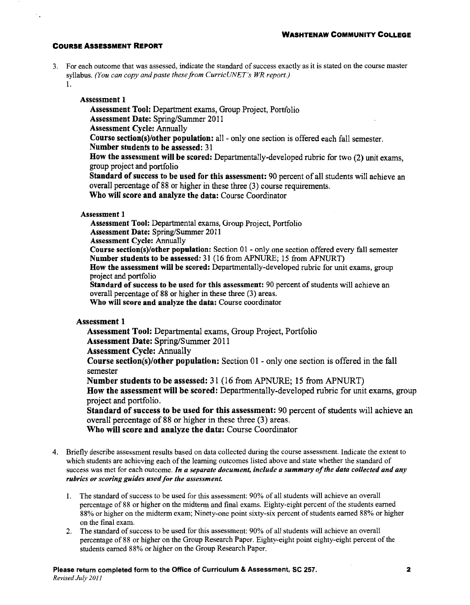3. For each outcome that was assessed, indicate the standard of success exactly as it is stated on the course master syllabus. *(You can copy and paste these from CurricUNET's WR report.)* 

1.

## Assessment I

- Assessment Tool: Department exams, Group Project, Portfolio
- Assessment Date: Spring/Summer 2011

Assessment Cycle: Annually

- Course section(s)/other population: all- only one section is offered each fall semester.
- Number students to be assessed: 31
- How the assessment will be scored: Departmentally-developed rubric for two (2) unit exams, group project and portfolio
- Standard of success to be used for this assessment: 90 percent of all students will achieve an overall percentage of 88 or higher in these three (3) course requirements.
- Who will score and analyze the data: Course Coordinator

## Assessment 1

Assessment Tool: Departmental exams, Group Project, Portfolio Assessment Date: Spring/Summer 2011 Assessment Cycle: Annually Course section(s)/other population: Section 01 - only one section offered every fall semester Number students to be assessed: 31 (16 from APNURE; 15 from APNURT) How the assessment will be scored: Departmentally-developed rubric for unit exams, group project and portfolio Standard of success to be used for this assessment: 90 percent of students will achieve an overall percentage of 88 or higher in these three (3) areas.

Who will score and analyze the data: Course coordinator

# Assessment 1

Assessment Tool: Departmental exams, Group Project, Portfolio Assessment Date: Spring/Summer 2011

Assessment Cycle: Annually

**Course section(s)/other population:** Section  $01$  - only one section is offered in the fall semester

Number students to be assessed: 31 (16 from APNURE; 15 from APNURT)

How the assessment will be scored: Departmentally-developed rubric for unit exams, group project and portfolio.

Standard of success to be used for this assessment: 90 percent of students will achieve an overall percentage of 88 or higher in these three (3) areas.

Who will score and analyze the data: Course Coordinator

- 4. Briefly describe assessment results based on data collected during the course assessment. Indicate the extent to which students are achieving each of the learning outcomes listed above and state whether the standard of success was met for each outcome. *In a separate document, include a summary of the data collected and any rubrics or scoring guides used for the assessment.* 
	- 1. The standard of success to be used for this assessment: 90% of all students will achieve an overall percentage of 88 or higher on the midterm and final exams. Eighty-eight percent of the students earned 88% or higher on the midterm exam; Ninety-one point sixty-six percent of students earned 88% or higher on the final exam.
	- 2. The standard of success to be used for this assessment: 90% of all students will achieve an overall percentage of 88 or higher on the Group Research Paper. Eighty-eight point eighty-eight percent of the students earned 88% or higher on the Group Research Paper.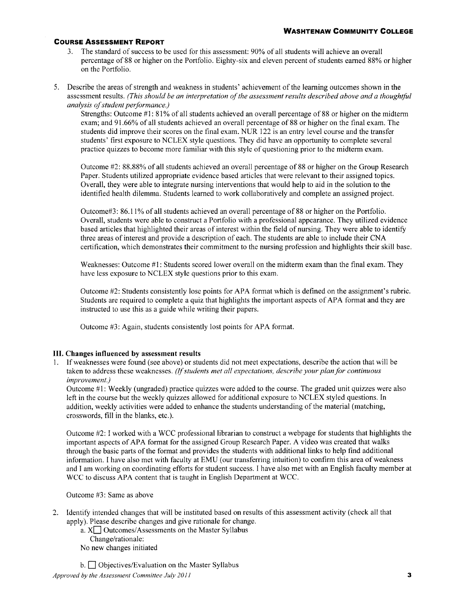- 3. The standard of success to be used for this assessment: 90% of all students will achieve an overall percentage of 88 or higher on the Portfolio. Eighty-six and eleven percent of students earned 88% or higher on the Portfolio.
- 5. Describe the areas of strength and weakness in students' achievement of the learning outcomes shown in the assessment results. *(This should be an interpretation of the assessment results described above and a thoughtful analysis of student performance.)*

Strengths: Outcome #1: 81% of all students achieved an overall percentage of 88 or higher on the midterm exam; and 91.66% of all students achieved an overall percentage of 88 or higher on the final exam. The students did improve their scores on the final exam. NUR 122 is an entry level course and the transfer students' first exposure to NCLEX style questions. They did have an opportunity to complete several practice quizzes to become more familiar with this style of questioning prior to the midterm exam.

Outcome #2: 88.88% of all students achieved an overall percentage of 88 or higher on the Group Research Paper. Students utilized appropriate evidence based articles that were relevant to their assigned topics. Overall, they were able to integrate nursing interventions that would help to aid in the solution to the identified health dilemma. Students learned to work collaboratively and complete an assigned project.

Outcome#3: 86.11% of all students achieved an overall percentage of 88 or higher on the Portfolio. Overall, students were able to construct a Portfolio with a professional appearance. They utilized evidence based articles that highlighted their areas of interest within the field of nursing. They were able to identify three areas of interest and provide a description of each. The students are able to include their CNA certification, which demonstrates their commitment to the nursing profession and highlights their skill base.

Weaknesses: Outcome #1: Students scored lower overall on the midterm exam than the final exam. They have less exposure to NCLEX style questions prior to this exam.

Outcome #2: Students consistently lose points for APA format which is defined on the assignment's rubric. Students are required to complete a quiz that highlights the important aspects of APA format and they are instructed to use this as a guide while writing their papers.

Outcome #3: Again, students consistently lost points for APA format.

## **III. Changes influenced by assessment results**

1. If weaknesses were found (see above) or students did not meet expectations, describe the action that will be taken to address these weaknesses. *(If students met all expectations, describe your plan for continuous improvement.)* 

Outcome #1: Weekly (ungraded) practice quizzes were added to the course. The graded unit quizzes were also left in the course but the weekly quizzes allowed for additional exposure to NCLEX styled questions. In addition, weekly activities were added to enhance the students understanding of the material (matching, crosswords, fill in the blanks, etc.).

Outcome #2: I worked with a WCC professional librarian to construct a webpage for students that highlights the important aspects of APA format for the assigned Group Research Paper. A video was created that walks through the basic parts of the format and provides the students with additional links to help find additional information. I have also met with faculty at EMU (our transferring intuition) to confirm this area of weakness and I am working on coordinating efforts for student success. I have also met with an English faculty member at WCC to discuss APA content that is taught in English Department at WCC.

Outcome #3: Same as above

2. Identity intended changes that will be instituted based on results of this assessment activity (check all that apply). Please describe changes and give rationale for change.

a.  $X\Box$  Outcomes/Assessments on the Master Syllabus Change/rationale: No new changes initiated

 $b. \Box$  Objectives/Evaluation on the Master Syllabus